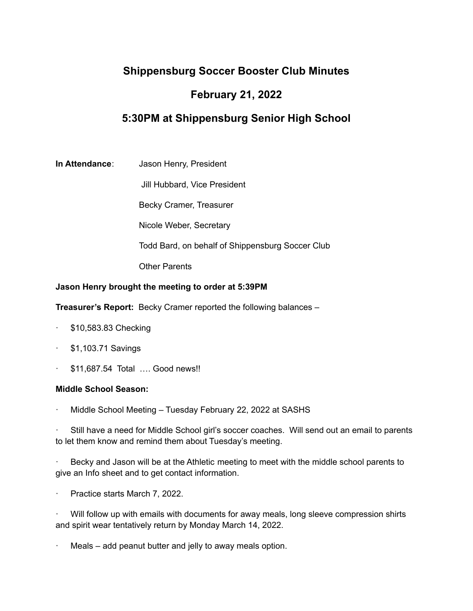# **Shippensburg Soccer Booster Club Minutes**

## **February 21, 2022**

## **5:30PM at Shippensburg Senior High School**

**In Attendance**: Jason Henry, President

Jill Hubbard, Vice President

Becky Cramer, Treasurer

Nicole Weber, Secretary

Todd Bard, on behalf of Shippensburg Soccer Club

Other Parents

## **Jason Henry brought the meeting to order at 5:39PM**

**Treasurer's Report:** Becky Cramer reported the following balances –

- · \$10,583.83 Checking
- · \$1,103.71 Savings
- · \$11,687.54 Total …. Good news!!

## **Middle School Season:**

Middle School Meeting – Tuesday February 22, 2022 at SASHS

Still have a need for Middle School girl's soccer coaches. Will send out an email to parents to let them know and remind them about Tuesday's meeting.

Becky and Jason will be at the Athletic meeting to meet with the middle school parents to give an Info sheet and to get contact information.

Practice starts March 7, 2022.

· Will follow up with emails with documents for away meals, long sleeve compression shirts and spirit wear tentatively return by Monday March 14, 2022.

Meals – add peanut butter and jelly to away meals option.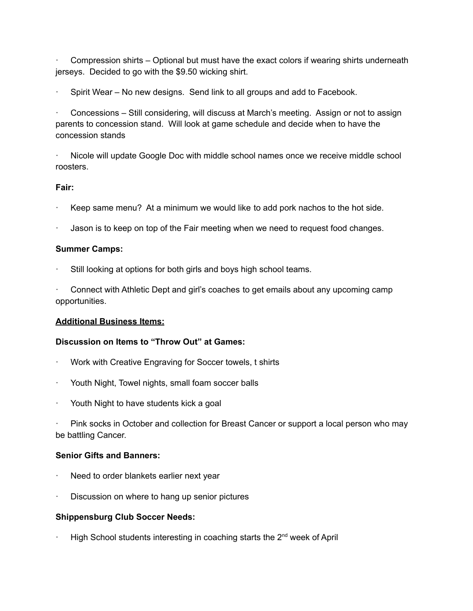· Compression shirts – Optional but must have the exact colors if wearing shirts underneath jerseys. Decided to go with the \$9.50 wicking shirt.

Spirit Wear – No new designs. Send link to all groups and add to Facebook.

· Concessions – Still considering, will discuss at March's meeting. Assign or not to assign parents to concession stand. Will look at game schedule and decide when to have the concession stands

· Nicole will update Google Doc with middle school names once we receive middle school roosters.

## **Fair:**

- Keep same menu? At a minimum we would like to add pork nachos to the hot side.
- Jason is to keep on top of the Fair meeting when we need to request food changes.

## **Summer Camps:**

Still looking at options for both girls and boys high school teams.

· Connect with Athletic Dept and girl's coaches to get emails about any upcoming camp opportunities.

## **Additional Business Items:**

## **Discussion on Items to "Throw Out" at Games:**

- Work with Creative Engraving for Soccer towels, t shirts
- Youth Night, Towel nights, small foam soccer balls
- Youth Night to have students kick a goal

Pink socks in October and collection for Breast Cancer or support a local person who may be battling Cancer.

## **Senior Gifts and Banners:**

- Need to order blankets earlier next year
- Discussion on where to hang up senior pictures

## **Shippensburg Club Soccer Needs:**

 $\cdot$  High School students interesting in coaching starts the 2<sup>nd</sup> week of April